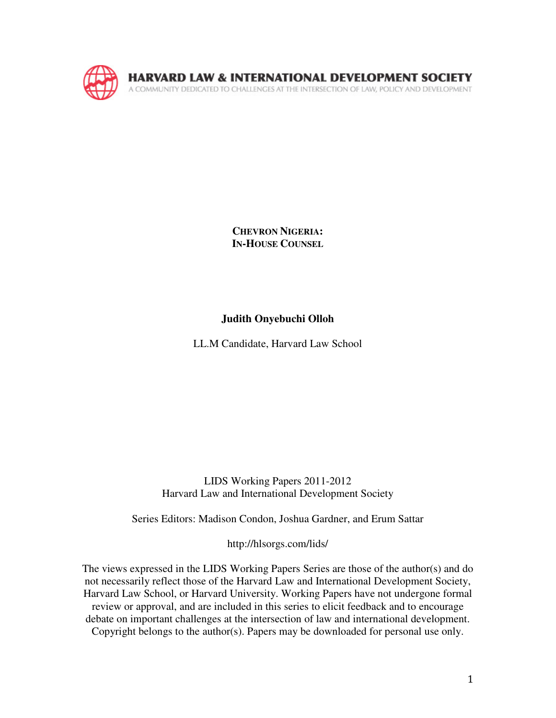

**CHEVRON NIGERIA: IN-HOUSE COUNSEL**

## **Judith Onyebuchi Olloh**

LL.M Candidate, Harvard Law School

LIDS Working Papers 2011-2012 Harvard Law and International Development Society

Series Editors: Madison Condon, Joshua Gardner, and Erum Sattar

http://hlsorgs.com/lids/

The views expressed in the LIDS Working Papers Series are those of the author(s) and do not necessarily reflect those of the Harvard Law and International Development Society, Harvard Law School, or Harvard University. Working Papers have not undergone formal review or approval, and are included in this series to elicit feedback and to encourage debate on important challenges at the intersection of law and international development. Copyright belongs to the author(s). Papers may be downloaded for personal use only.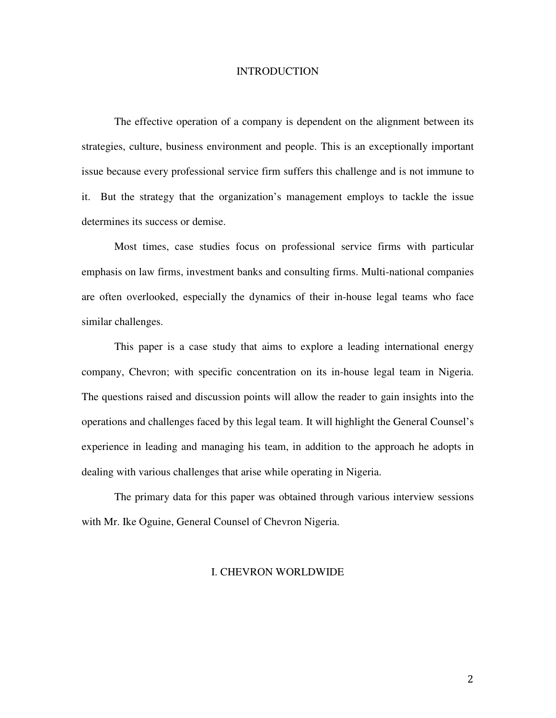#### **INTRODUCTION**

The effective operation of a company is dependent on the alignment between its strategies, culture, business environment and people. This is an exceptionally important issue because every professional service firm suffers this challenge and is not immune to it. But the strategy that the organization's management employs to tackle the issue determines its success or demise.

Most times, case studies focus on professional service firms with particular emphasis on law firms, investment banks and consulting firms. Multi-national companies are often overlooked, especially the dynamics of their in-house legal teams who face similar challenges.

This paper is a case study that aims to explore a leading international energy company, Chevron; with specific concentration on its in-house legal team in Nigeria. The questions raised and discussion points will allow the reader to gain insights into the operations and challenges faced by this legal team. It will highlight the General Counsel's experience in leading and managing his team, in addition to the approach he adopts in dealing with various challenges that arise while operating in Nigeria.

The primary data for this paper was obtained through various interview sessions with Mr. Ike Oguine, General Counsel of Chevron Nigeria.

#### I. CHEVRON WORLDWIDE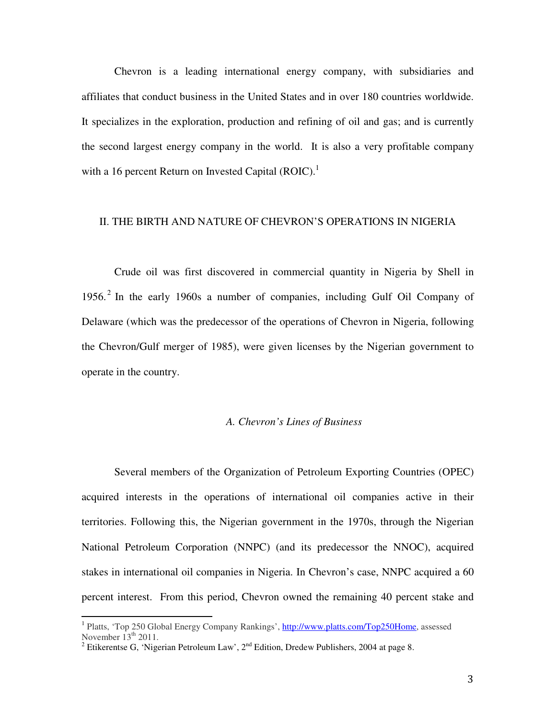Chevron is a leading international energy company, with subsidiaries and affiliates that conduct business in the United States and in over 180 countries worldwide. It specializes in the exploration, production and refining of oil and gas; and is currently the second largest energy company in the world. It is also a very profitable company with a 16 percent Return on Invested Capital (ROIC).<sup>1</sup>

#### II. THE BIRTH AND NATURE OF CHEVRON'S OPERATIONS IN NIGERIA

Crude oil was first discovered in commercial quantity in Nigeria by Shell in 1956.<sup>2</sup> In the early 1960s a number of companies, including Gulf Oil Company of Delaware (which was the predecessor of the operations of Chevron in Nigeria, following the Chevron/Gulf merger of 1985), were given licenses by the Nigerian government to operate in the country.

#### *A. Chevron's Lines of Business*

Several members of the Organization of Petroleum Exporting Countries (OPEC) acquired interests in the operations of international oil companies active in their territories. Following this, the Nigerian government in the 1970s, through the Nigerian National Petroleum Corporation (NNPC) (and its predecessor the NNOC), acquired stakes in international oil companies in Nigeria. In Chevron's case, NNPC acquired a 60 percent interest. From this period, Chevron owned the remaining 40 percent stake and

<sup>&</sup>lt;sup>1</sup> Platts, 'Top 250 Global Energy Company Rankings', http://www.platts.com/Top250Home, assessed November  $13<sup>th</sup>$  2011.

<sup>&</sup>lt;sup>2</sup> Etikerentse G, 'Nigerian Petroleum Law', 2<sup>nd</sup> Edition, Dredew Publishers, 2004 at page 8.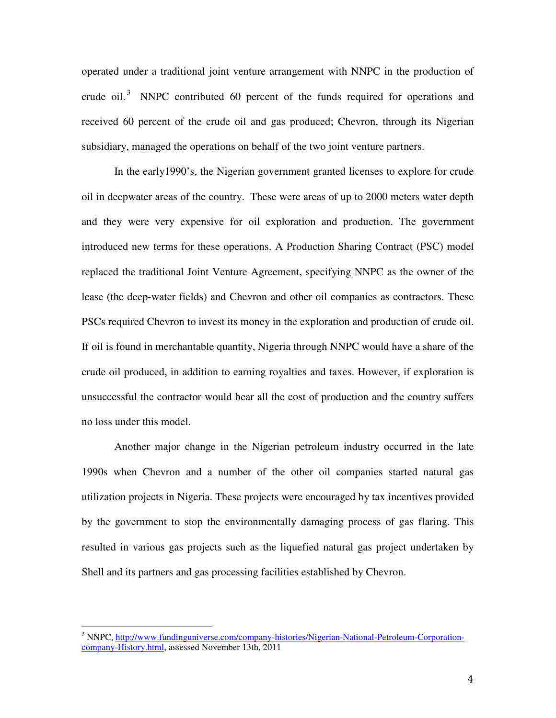operated under a traditional joint venture arrangement with NNPC in the production of crude oil.<sup>3</sup> NNPC contributed 60 percent of the funds required for operations and received 60 percent of the crude oil and gas produced; Chevron, through its Nigerian subsidiary, managed the operations on behalf of the two joint venture partners.

In the early1990's, the Nigerian government granted licenses to explore for crude oil in deepwater areas of the country. These were areas of up to 2000 meters water depth and they were very expensive for oil exploration and production. The government introduced new terms for these operations. A Production Sharing Contract (PSC) model replaced the traditional Joint Venture Agreement, specifying NNPC as the owner of the lease (the deep-water fields) and Chevron and other oil companies as contractors. These PSCs required Chevron to invest its money in the exploration and production of crude oil. If oil is found in merchantable quantity, Nigeria through NNPC would have a share of the crude oil produced, in addition to earning royalties and taxes. However, if exploration is unsuccessful the contractor would bear all the cost of production and the country suffers no loss under this model.

Another major change in the Nigerian petroleum industry occurred in the late 1990s when Chevron and a number of the other oil companies started natural gas utilization projects in Nigeria. These projects were encouraged by tax incentives provided by the government to stop the environmentally damaging process of gas flaring. This resulted in various gas projects such as the liquefied natural gas project undertaken by Shell and its partners and gas processing facilities established by Chevron.

<sup>&</sup>lt;sup>3</sup> NNPC, http://www.fundinguniverse.com/company-histories/Nigerian-National-Petroleum-Corporationcompany-History.html, assessed November 13th, 2011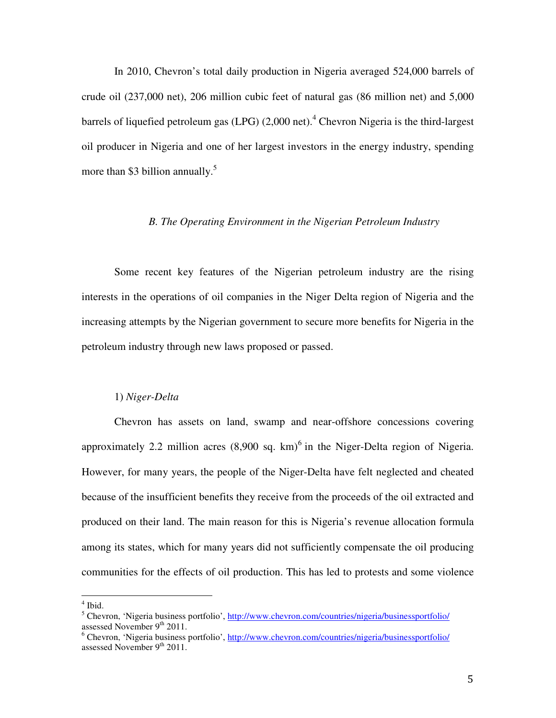In 2010, Chevron's total daily production in Nigeria averaged 524,000 barrels of crude oil (237,000 net), 206 million cubic feet of natural gas (86 million net) and 5,000 barrels of liquefied petroleum gas (LPG) (2,000 net).<sup>4</sup> Chevron Nigeria is the third-largest oil producer in Nigeria and one of her largest investors in the energy industry, spending more than \$3 billion annually.<sup>5</sup>

#### *B. The Operating Environment in the Nigerian Petroleum Industry*

Some recent key features of the Nigerian petroleum industry are the rising interests in the operations of oil companies in the Niger Delta region of Nigeria and the increasing attempts by the Nigerian government to secure more benefits for Nigeria in the petroleum industry through new laws proposed or passed.

#### 1) *Niger-Delta*

Chevron has assets on land, swamp and near-offshore concessions covering approximately 2.2 million acres  $(8,900 \text{ sq. km})^6$  in the Niger-Delta region of Nigeria. However, for many years, the people of the Niger-Delta have felt neglected and cheated because of the insufficient benefits they receive from the proceeds of the oil extracted and produced on their land. The main reason for this is Nigeria's revenue allocation formula among its states, which for many years did not sufficiently compensate the oil producing communities for the effects of oil production. This has led to protests and some violence

<sup>4</sup> Ibid.

<sup>&</sup>lt;sup>5</sup> Chevron, 'Nigeria business portfolio', http://www.chevron.com/countries/nigeria/businessportfolio/ assessed November 9<sup>th</sup> 2011.

<sup>&</sup>lt;sup>6</sup> Chevron, 'Nigeria business portfolio', http://www.chevron.com/countries/nigeria/businessportfolio/ assessed November 9<sup>th</sup> 2011.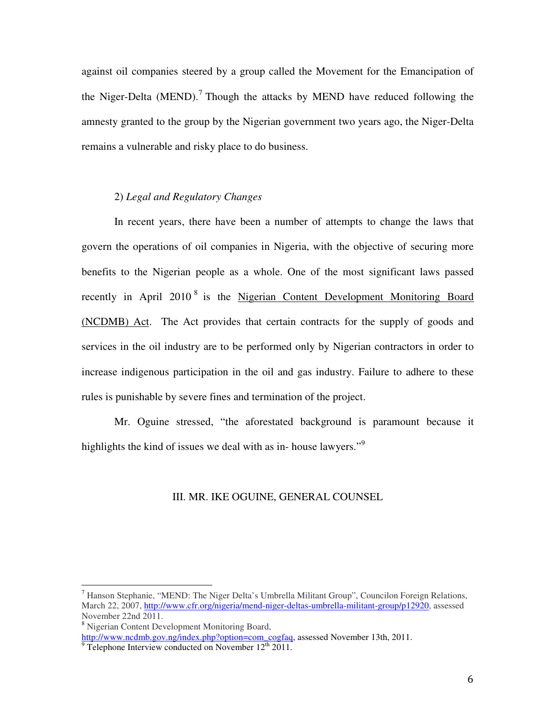against oil companies steered by a group called the Movement for the Emancipation of the Niger-Delta (MEND).<sup>7</sup> Though the attacks by MEND have reduced following the amnesty granted to the group by the Nigerian government two years ago, the Niger-Delta remains a vulnerable and risky place to do business.

## 2) *Legal and Regulatory Changes*

In recent years, there have been a number of attempts to change the laws that govern the operations of oil companies in Nigeria, with the objective of securing more benefits to the Nigerian people as a whole. One of the most significant laws passed recently in April 2010<sup>8</sup> is the Nigerian Content Development Monitoring Board (NCDMB) Act. The Act provides that certain contracts for the supply of goods and services in the oil industry are to be performed only by Nigerian contractors in order to increase indigenous participation in the oil and gas industry. Failure to adhere to these rules is punishable by severe fines and termination of the project.

Mr. Oguine stressed, "the aforestated background is paramount because it highlights the kind of issues we deal with as in- house lawyers."<sup>9</sup>

#### III. MR. IKE OGUINE, GENERAL COUNSEL

<sup>8</sup> Nigerian Content Development Monitoring Board, http://www.ncdmb.gov.ng/index.php?option=com\_cogfaq, assessed November 13th, 2011.

<sup>&</sup>lt;sup>7</sup> Hanson Stephanie, "MEND: The Niger Delta's Umbrella Militant Group", Councilon Foreign Relations, March 22, 2007, http://www.cfr.org/nigeria/mend-niger-deltas-umbrella-militant-group/p12920, assessed November 22nd 2011.

 $9$  Telephone Interview conducted on November 12<sup>th</sup> 2011.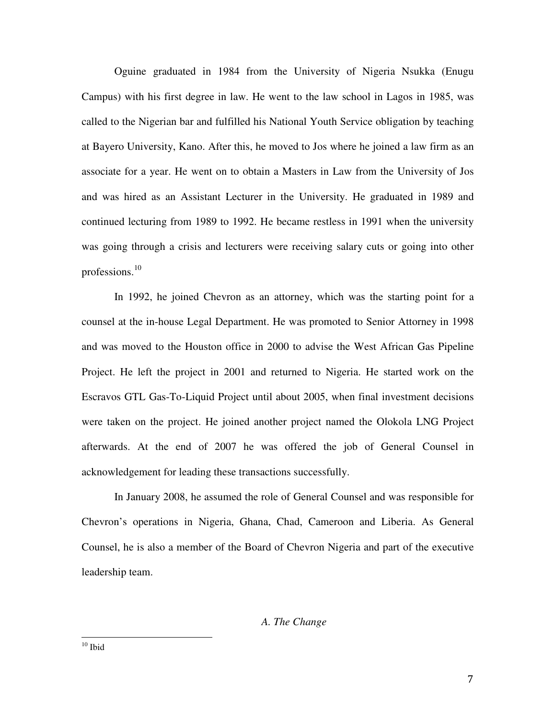Oguine graduated in 1984 from the University of Nigeria Nsukka (Enugu Campus) with his first degree in law. He went to the law school in Lagos in 1985, was called to the Nigerian bar and fulfilled his National Youth Service obligation by teaching at Bayero University, Kano. After this, he moved to Jos where he joined a law firm as an associate for a year. He went on to obtain a Masters in Law from the University of Jos and was hired as an Assistant Lecturer in the University. He graduated in 1989 and continued lecturing from 1989 to 1992. He became restless in 1991 when the university was going through a crisis and lecturers were receiving salary cuts or going into other professions.<sup>10</sup>

In 1992, he joined Chevron as an attorney, which was the starting point for a counsel at the in-house Legal Department. He was promoted to Senior Attorney in 1998 and was moved to the Houston office in 2000 to advise the West African Gas Pipeline Project. He left the project in 2001 and returned to Nigeria. He started work on the Escravos GTL Gas-To-Liquid Project until about 2005, when final investment decisions were taken on the project. He joined another project named the Olokola LNG Project afterwards. At the end of 2007 he was offered the job of General Counsel in acknowledgement for leading these transactions successfully.

In January 2008, he assumed the role of General Counsel and was responsible for Chevron's operations in Nigeria, Ghana, Chad, Cameroon and Liberia. As General Counsel, he is also a member of the Board of Chevron Nigeria and part of the executive leadership team.

#### *A. The Change*

 $\rm ^{10}$  Ibid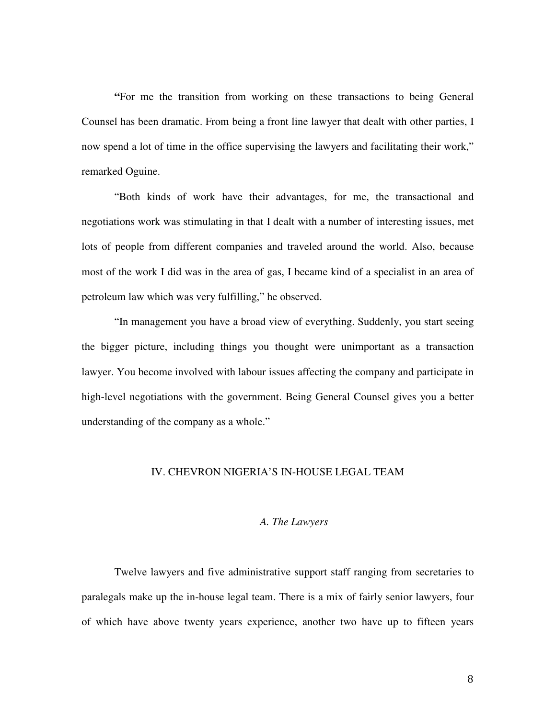**"**For me the transition from working on these transactions to being General Counsel has been dramatic. From being a front line lawyer that dealt with other parties, I now spend a lot of time in the office supervising the lawyers and facilitating their work," remarked Oguine.

"Both kinds of work have their advantages, for me, the transactional and negotiations work was stimulating in that I dealt with a number of interesting issues, met lots of people from different companies and traveled around the world. Also, because most of the work I did was in the area of gas, I became kind of a specialist in an area of petroleum law which was very fulfilling," he observed.

"In management you have a broad view of everything. Suddenly, you start seeing the bigger picture, including things you thought were unimportant as a transaction lawyer. You become involved with labour issues affecting the company and participate in high-level negotiations with the government. Being General Counsel gives you a better understanding of the company as a whole."

#### IV. CHEVRON NIGERIA'S IN-HOUSE LEGAL TEAM

#### *A. The Lawyers*

Twelve lawyers and five administrative support staff ranging from secretaries to paralegals make up the in-house legal team. There is a mix of fairly senior lawyers, four of which have above twenty years experience, another two have up to fifteen years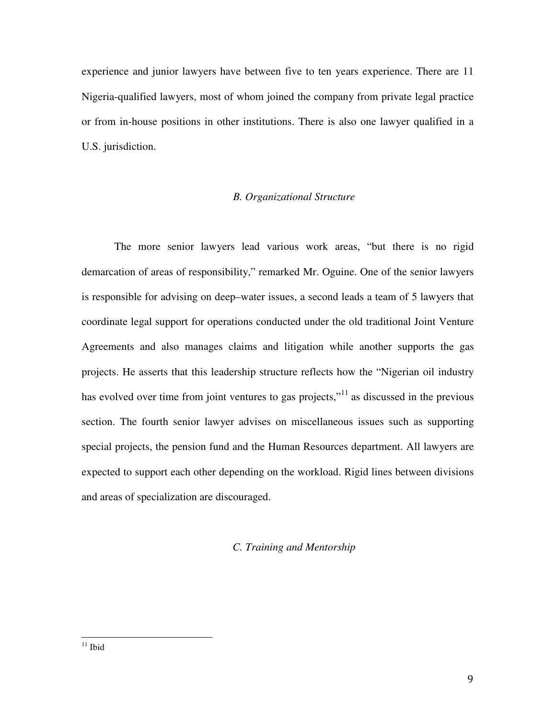experience and junior lawyers have between five to ten years experience. There are 11 Nigeria-qualified lawyers, most of whom joined the company from private legal practice or from in-house positions in other institutions. There is also one lawyer qualified in a U.S. jurisdiction.

## *B. Organizational Structure*

The more senior lawyers lead various work areas, "but there is no rigid demarcation of areas of responsibility," remarked Mr. Oguine. One of the senior lawyers is responsible for advising on deep–water issues, a second leads a team of 5 lawyers that coordinate legal support for operations conducted under the old traditional Joint Venture Agreements and also manages claims and litigation while another supports the gas projects. He asserts that this leadership structure reflects how the "Nigerian oil industry has evolved over time from joint ventures to gas projects,"<sup>11</sup> as discussed in the previous section. The fourth senior lawyer advises on miscellaneous issues such as supporting special projects, the pension fund and the Human Resources department. All lawyers are expected to support each other depending on the workload. Rigid lines between divisions and areas of specialization are discouraged.

## *C. Training and Mentorship*

 $^{11}$  Ibid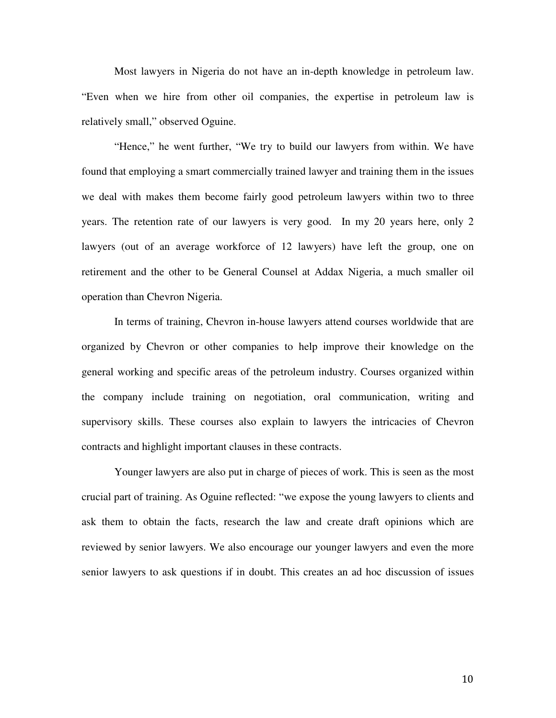Most lawyers in Nigeria do not have an in-depth knowledge in petroleum law. "Even when we hire from other oil companies, the expertise in petroleum law is relatively small," observed Oguine.

"Hence," he went further, "We try to build our lawyers from within. We have found that employing a smart commercially trained lawyer and training them in the issues we deal with makes them become fairly good petroleum lawyers within two to three years. The retention rate of our lawyers is very good. In my 20 years here, only 2 lawyers (out of an average workforce of 12 lawyers) have left the group, one on retirement and the other to be General Counsel at Addax Nigeria, a much smaller oil operation than Chevron Nigeria.

In terms of training, Chevron in-house lawyers attend courses worldwide that are organized by Chevron or other companies to help improve their knowledge on the general working and specific areas of the petroleum industry. Courses organized within the company include training on negotiation, oral communication, writing and supervisory skills. These courses also explain to lawyers the intricacies of Chevron contracts and highlight important clauses in these contracts.

 Younger lawyers are also put in charge of pieces of work. This is seen as the most crucial part of training. As Oguine reflected: "we expose the young lawyers to clients and ask them to obtain the facts, research the law and create draft opinions which are reviewed by senior lawyers. We also encourage our younger lawyers and even the more senior lawyers to ask questions if in doubt. This creates an ad hoc discussion of issues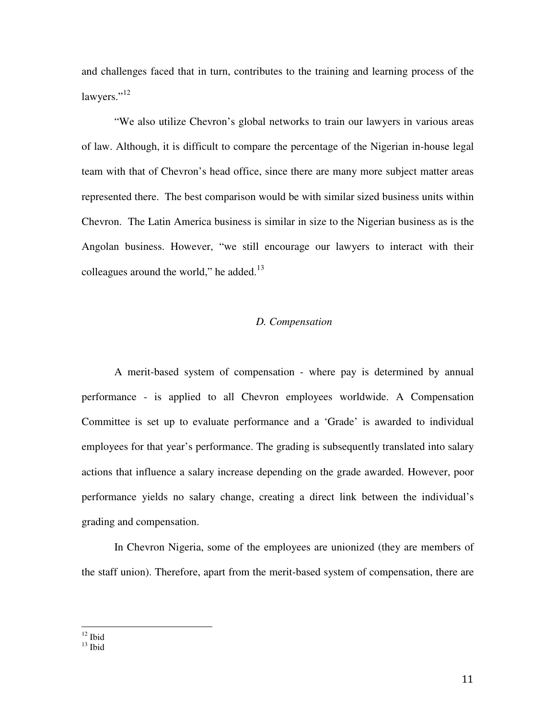and challenges faced that in turn, contributes to the training and learning process of the lawyers."<sup>12</sup>

"We also utilize Chevron's global networks to train our lawyers in various areas of law. Although, it is difficult to compare the percentage of the Nigerian in-house legal team with that of Chevron's head office, since there are many more subject matter areas represented there. The best comparison would be with similar sized business units within Chevron. The Latin America business is similar in size to the Nigerian business as is the Angolan business. However, "we still encourage our lawyers to interact with their colleagues around the world," he added. $^{13}$ 

## *D. Compensation*

A merit-based system of compensation - where pay is determined by annual performance - is applied to all Chevron employees worldwide. A Compensation Committee is set up to evaluate performance and a 'Grade' is awarded to individual employees for that year's performance. The grading is subsequently translated into salary actions that influence a salary increase depending on the grade awarded. However, poor performance yields no salary change, creating a direct link between the individual's grading and compensation.

 In Chevron Nigeria, some of the employees are unionized (they are members of the staff union). Therefore, apart from the merit-based system of compensation, there are

 $12$  Ibid

 $13$  Ibid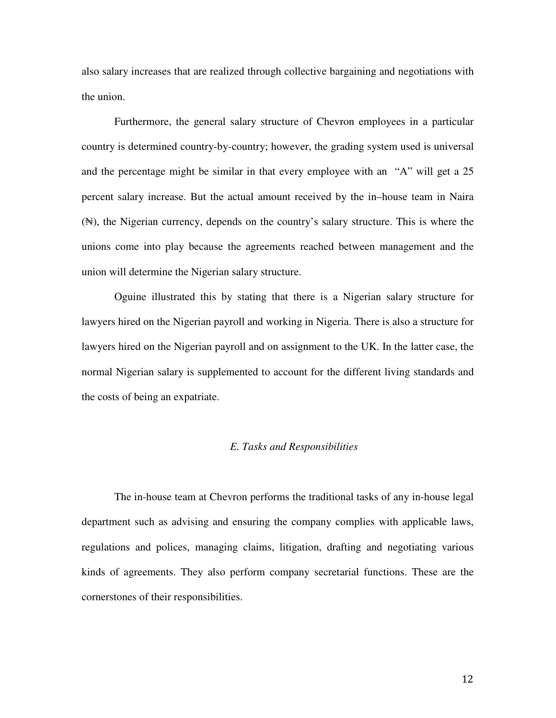also salary increases that are realized through collective bargaining and negotiations with the union.

Furthermore, the general salary structure of Chevron employees in a particular country is determined country-by-country; however, the grading system used is universal and the percentage might be similar in that every employee with an "A" will get a 25 percent salary increase. But the actual amount received by the in–house team in Naira (₦), the Nigerian currency, depends on the country's salary structure. This is where the unions come into play because the agreements reached between management and the union will determine the Nigerian salary structure.

Oguine illustrated this by stating that there is a Nigerian salary structure for lawyers hired on the Nigerian payroll and working in Nigeria. There is also a structure for lawyers hired on the Nigerian payroll and on assignment to the UK. In the latter case, the normal Nigerian salary is supplemented to account for the different living standards and the costs of being an expatriate.

## *E. Tasks and Responsibilities*

The in-house team at Chevron performs the traditional tasks of any in-house legal department such as advising and ensuring the company complies with applicable laws, regulations and polices, managing claims, litigation, drafting and negotiating various kinds of agreements. They also perform company secretarial functions. These are the cornerstones of their responsibilities.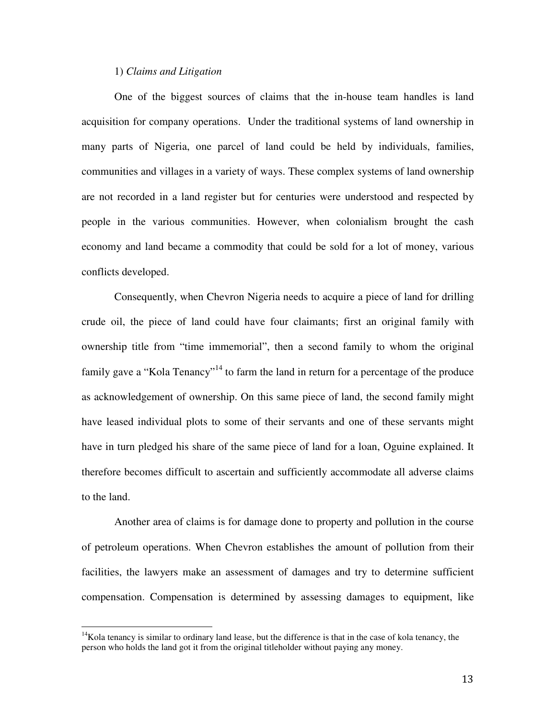#### 1) *Claims and Litigation*

One of the biggest sources of claims that the in-house team handles is land acquisition for company operations. Under the traditional systems of land ownership in many parts of Nigeria, one parcel of land could be held by individuals, families, communities and villages in a variety of ways. These complex systems of land ownership are not recorded in a land register but for centuries were understood and respected by people in the various communities. However, when colonialism brought the cash economy and land became a commodity that could be sold for a lot of money, various conflicts developed.

Consequently, when Chevron Nigeria needs to acquire a piece of land for drilling crude oil, the piece of land could have four claimants; first an original family with ownership title from "time immemorial", then a second family to whom the original family gave a "Kola Tenancy"<sup>14</sup> to farm the land in return for a percentage of the produce as acknowledgement of ownership. On this same piece of land, the second family might have leased individual plots to some of their servants and one of these servants might have in turn pledged his share of the same piece of land for a loan, Oguine explained. It therefore becomes difficult to ascertain and sufficiently accommodate all adverse claims to the land.

Another area of claims is for damage done to property and pollution in the course of petroleum operations. When Chevron establishes the amount of pollution from their facilities, the lawyers make an assessment of damages and try to determine sufficient compensation. Compensation is determined by assessing damages to equipment, like

 $14$ Kola tenancy is similar to ordinary land lease, but the difference is that in the case of kola tenancy, the person who holds the land got it from the original titleholder without paying any money.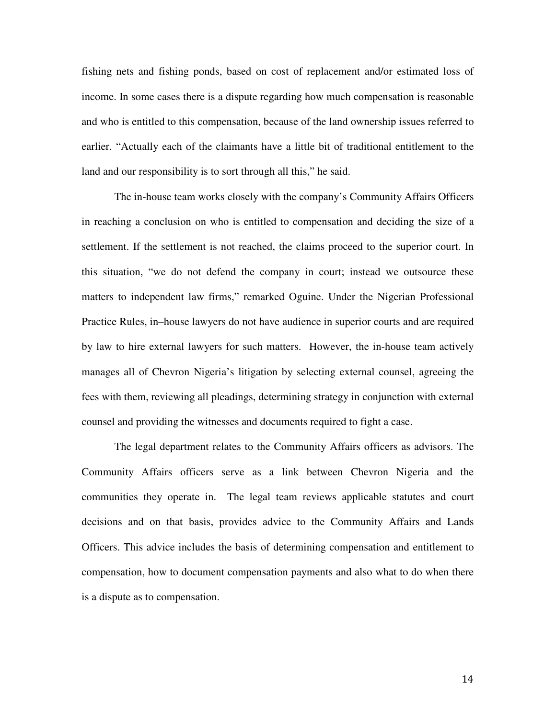fishing nets and fishing ponds, based on cost of replacement and/or estimated loss of income. In some cases there is a dispute regarding how much compensation is reasonable and who is entitled to this compensation, because of the land ownership issues referred to earlier. "Actually each of the claimants have a little bit of traditional entitlement to the land and our responsibility is to sort through all this," he said.

The in-house team works closely with the company's Community Affairs Officers in reaching a conclusion on who is entitled to compensation and deciding the size of a settlement. If the settlement is not reached, the claims proceed to the superior court. In this situation, "we do not defend the company in court; instead we outsource these matters to independent law firms," remarked Oguine. Under the Nigerian Professional Practice Rules, in–house lawyers do not have audience in superior courts and are required by law to hire external lawyers for such matters. However, the in-house team actively manages all of Chevron Nigeria's litigation by selecting external counsel, agreeing the fees with them, reviewing all pleadings, determining strategy in conjunction with external counsel and providing the witnesses and documents required to fight a case.

The legal department relates to the Community Affairs officers as advisors. The Community Affairs officers serve as a link between Chevron Nigeria and the communities they operate in. The legal team reviews applicable statutes and court decisions and on that basis, provides advice to the Community Affairs and Lands Officers. This advice includes the basis of determining compensation and entitlement to compensation, how to document compensation payments and also what to do when there is a dispute as to compensation.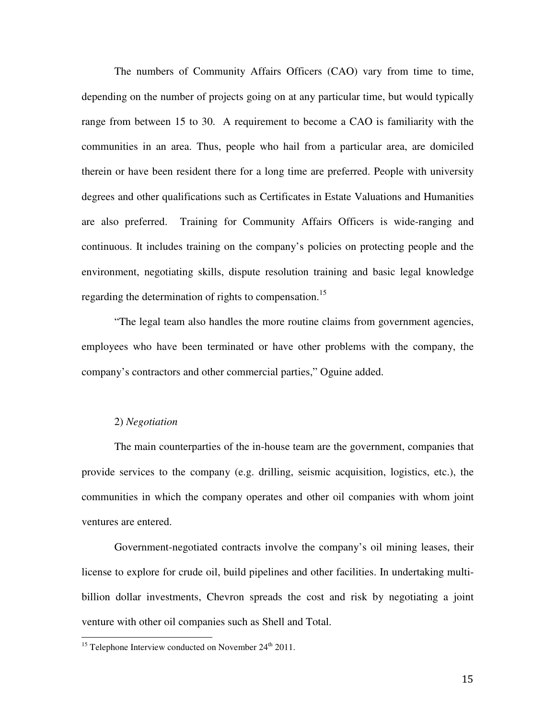The numbers of Community Affairs Officers (CAO) vary from time to time, depending on the number of projects going on at any particular time, but would typically range from between 15 to 30. A requirement to become a CAO is familiarity with the communities in an area. Thus, people who hail from a particular area, are domiciled therein or have been resident there for a long time are preferred. People with university degrees and other qualifications such as Certificates in Estate Valuations and Humanities are also preferred. Training for Community Affairs Officers is wide-ranging and continuous. It includes training on the company's policies on protecting people and the environment, negotiating skills, dispute resolution training and basic legal knowledge regarding the determination of rights to compensation.<sup>15</sup>

"The legal team also handles the more routine claims from government agencies, employees who have been terminated or have other problems with the company, the company's contractors and other commercial parties," Oguine added.

#### 2) *Negotiation*

 $\overline{a}$ 

The main counterparties of the in-house team are the government, companies that provide services to the company (e.g. drilling, seismic acquisition, logistics, etc.), the communities in which the company operates and other oil companies with whom joint ventures are entered.

Government-negotiated contracts involve the company's oil mining leases, their license to explore for crude oil, build pipelines and other facilities. In undertaking multibillion dollar investments, Chevron spreads the cost and risk by negotiating a joint venture with other oil companies such as Shell and Total.

<sup>&</sup>lt;sup>15</sup> Telephone Interview conducted on November  $24<sup>th</sup>$  2011.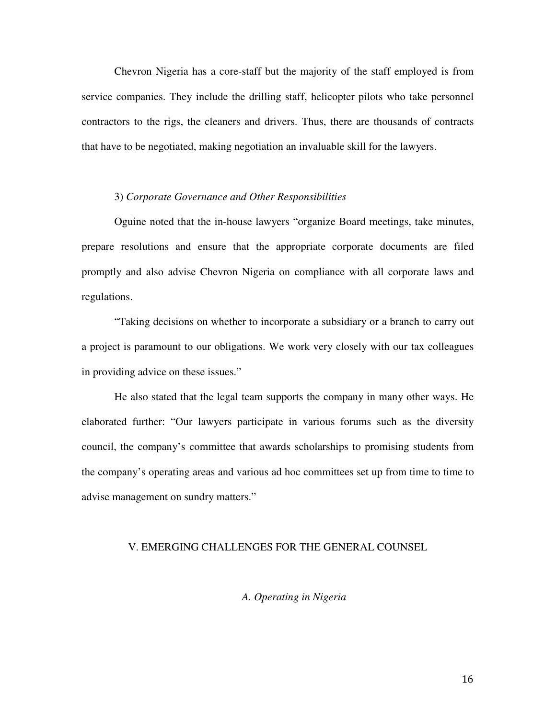Chevron Nigeria has a core-staff but the majority of the staff employed is from service companies. They include the drilling staff, helicopter pilots who take personnel contractors to the rigs, the cleaners and drivers. Thus, there are thousands of contracts that have to be negotiated, making negotiation an invaluable skill for the lawyers.

#### 3) *Corporate Governance and Other Responsibilities*

Oguine noted that the in-house lawyers "organize Board meetings, take minutes, prepare resolutions and ensure that the appropriate corporate documents are filed promptly and also advise Chevron Nigeria on compliance with all corporate laws and regulations.

"Taking decisions on whether to incorporate a subsidiary or a branch to carry out a project is paramount to our obligations. We work very closely with our tax colleagues in providing advice on these issues."

He also stated that the legal team supports the company in many other ways. He elaborated further: "Our lawyers participate in various forums such as the diversity council, the company's committee that awards scholarships to promising students from the company's operating areas and various ad hoc committees set up from time to time to advise management on sundry matters."

#### V. EMERGING CHALLENGES FOR THE GENERAL COUNSEL

#### *A. Operating in Nigeria*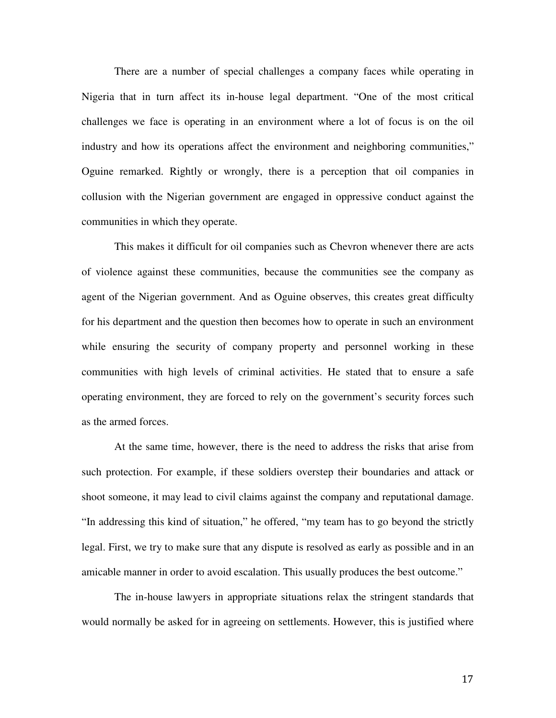There are a number of special challenges a company faces while operating in Nigeria that in turn affect its in-house legal department. "One of the most critical challenges we face is operating in an environment where a lot of focus is on the oil industry and how its operations affect the environment and neighboring communities," Oguine remarked. Rightly or wrongly, there is a perception that oil companies in collusion with the Nigerian government are engaged in oppressive conduct against the communities in which they operate.

This makes it difficult for oil companies such as Chevron whenever there are acts of violence against these communities, because the communities see the company as agent of the Nigerian government. And as Oguine observes, this creates great difficulty for his department and the question then becomes how to operate in such an environment while ensuring the security of company property and personnel working in these communities with high levels of criminal activities. He stated that to ensure a safe operating environment, they are forced to rely on the government's security forces such as the armed forces.

At the same time, however, there is the need to address the risks that arise from such protection. For example, if these soldiers overstep their boundaries and attack or shoot someone, it may lead to civil claims against the company and reputational damage. "In addressing this kind of situation," he offered, "my team has to go beyond the strictly legal. First, we try to make sure that any dispute is resolved as early as possible and in an amicable manner in order to avoid escalation. This usually produces the best outcome."

The in-house lawyers in appropriate situations relax the stringent standards that would normally be asked for in agreeing on settlements. However, this is justified where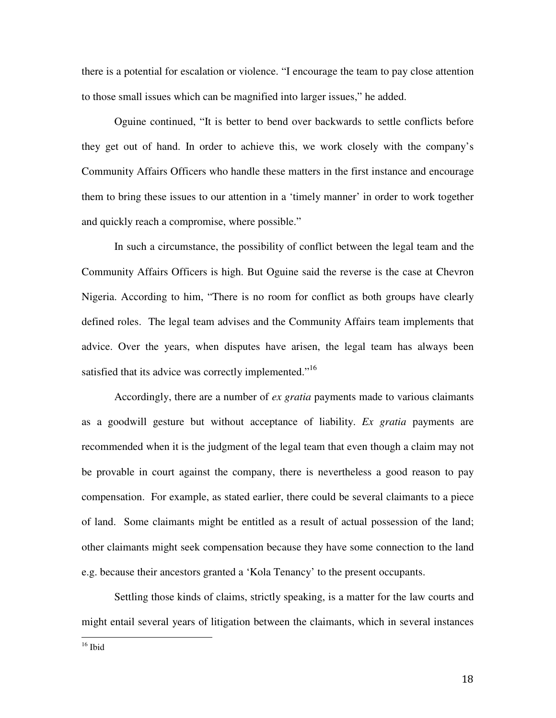there is a potential for escalation or violence. "I encourage the team to pay close attention to those small issues which can be magnified into larger issues," he added.

Oguine continued, "It is better to bend over backwards to settle conflicts before they get out of hand. In order to achieve this, we work closely with the company's Community Affairs Officers who handle these matters in the first instance and encourage them to bring these issues to our attention in a 'timely manner' in order to work together and quickly reach a compromise, where possible."

In such a circumstance, the possibility of conflict between the legal team and the Community Affairs Officers is high. But Oguine said the reverse is the case at Chevron Nigeria. According to him, "There is no room for conflict as both groups have clearly defined roles. The legal team advises and the Community Affairs team implements that advice. Over the years, when disputes have arisen, the legal team has always been satisfied that its advice was correctly implemented."<sup>16</sup>

Accordingly, there are a number of *ex gratia* payments made to various claimants as a goodwill gesture but without acceptance of liability. *Ex gratia* payments are recommended when it is the judgment of the legal team that even though a claim may not be provable in court against the company, there is nevertheless a good reason to pay compensation. For example, as stated earlier, there could be several claimants to a piece of land. Some claimants might be entitled as a result of actual possession of the land; other claimants might seek compensation because they have some connection to the land e.g. because their ancestors granted a 'Kola Tenancy' to the present occupants.

Settling those kinds of claims, strictly speaking, is a matter for the law courts and might entail several years of litigation between the claimants, which in several instances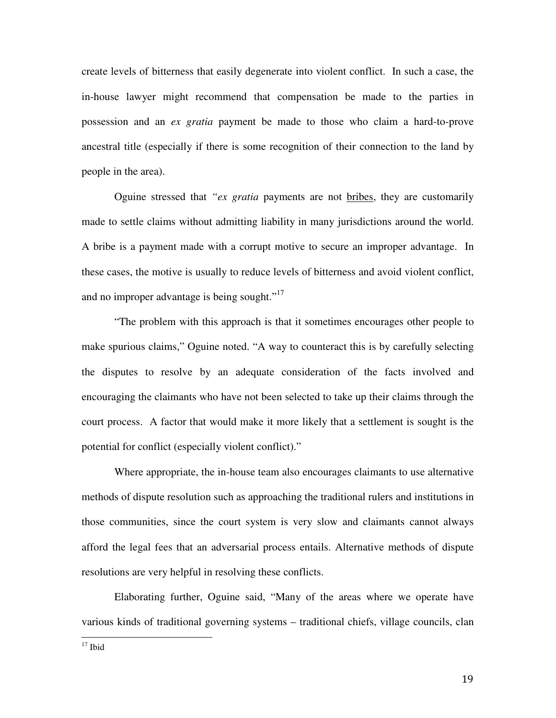create levels of bitterness that easily degenerate into violent conflict. In such a case, the in-house lawyer might recommend that compensation be made to the parties in possession and an *ex gratia* payment be made to those who claim a hard-to-prove ancestral title (especially if there is some recognition of their connection to the land by people in the area).

Oguine stressed that *"ex gratia* payments are not bribes, they are customarily made to settle claims without admitting liability in many jurisdictions around the world. A bribe is a payment made with a corrupt motive to secure an improper advantage. In these cases, the motive is usually to reduce levels of bitterness and avoid violent conflict, and no improper advantage is being sought."<sup>17</sup>

"The problem with this approach is that it sometimes encourages other people to make spurious claims," Oguine noted. "A way to counteract this is by carefully selecting the disputes to resolve by an adequate consideration of the facts involved and encouraging the claimants who have not been selected to take up their claims through the court process. A factor that would make it more likely that a settlement is sought is the potential for conflict (especially violent conflict)."

Where appropriate, the in-house team also encourages claimants to use alternative methods of dispute resolution such as approaching the traditional rulers and institutions in those communities, since the court system is very slow and claimants cannot always afford the legal fees that an adversarial process entails. Alternative methods of dispute resolutions are very helpful in resolving these conflicts.

Elaborating further, Oguine said, "Many of the areas where we operate have various kinds of traditional governing systems – traditional chiefs, village councils, clan

 $17$  Ibid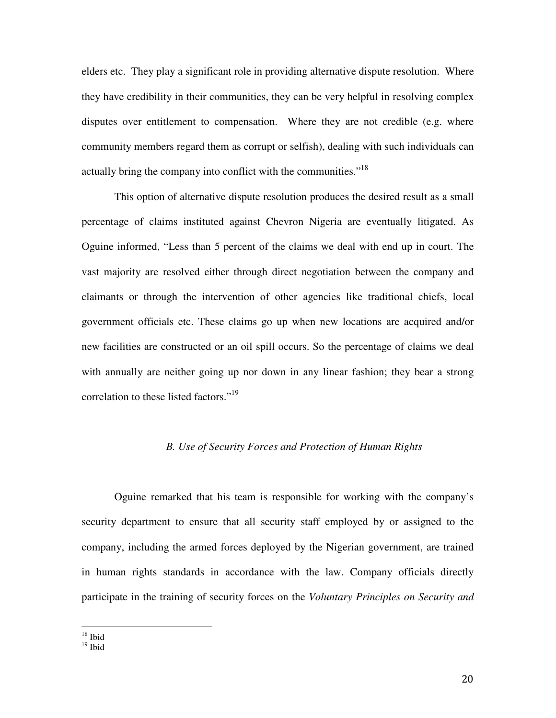elders etc. They play a significant role in providing alternative dispute resolution. Where they have credibility in their communities, they can be very helpful in resolving complex disputes over entitlement to compensation. Where they are not credible (e.g. where community members regard them as corrupt or selfish), dealing with such individuals can actually bring the company into conflict with the communities."<sup>18</sup>

This option of alternative dispute resolution produces the desired result as a small percentage of claims instituted against Chevron Nigeria are eventually litigated. As Oguine informed, "Less than 5 percent of the claims we deal with end up in court. The vast majority are resolved either through direct negotiation between the company and claimants or through the intervention of other agencies like traditional chiefs, local government officials etc. These claims go up when new locations are acquired and/or new facilities are constructed or an oil spill occurs. So the percentage of claims we deal with annually are neither going up nor down in any linear fashion; they bear a strong correlation to these listed factors."<sup>19</sup>

## *B. Use of Security Forces and Protection of Human Rights*

Oguine remarked that his team is responsible for working with the company's security department to ensure that all security staff employed by or assigned to the company, including the armed forces deployed by the Nigerian government, are trained in human rights standards in accordance with the law. Company officials directly participate in the training of security forces on the *Voluntary Principles on Security and* 

 $19$  Ibid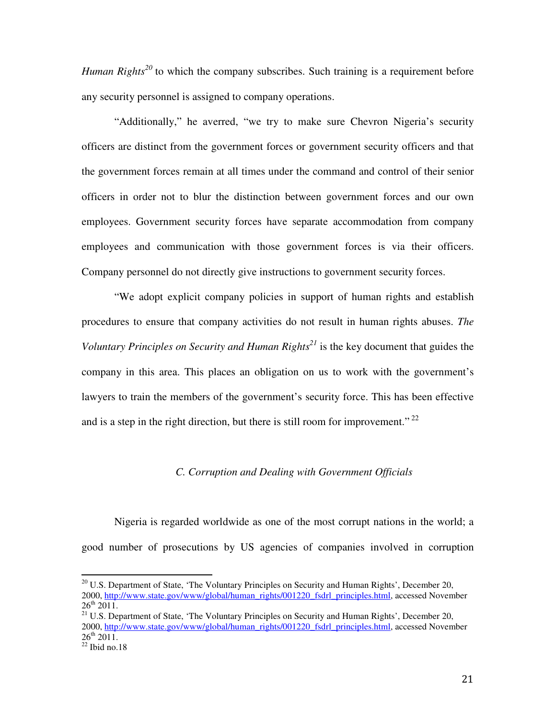*Human Rights*<sup>20</sup> to which the company subscribes. Such training is a requirement before any security personnel is assigned to company operations.

"Additionally," he averred, "we try to make sure Chevron Nigeria's security officers are distinct from the government forces or government security officers and that the government forces remain at all times under the command and control of their senior officers in order not to blur the distinction between government forces and our own employees. Government security forces have separate accommodation from company employees and communication with those government forces is via their officers. Company personnel do not directly give instructions to government security forces.

"We adopt explicit company policies in support of human rights and establish procedures to ensure that company activities do not result in human rights abuses. *The Voluntary Principles on Security and Human Rights<sup>21</sup>* is the key document that guides the company in this area. This places an obligation on us to work with the government's lawyers to train the members of the government's security force. This has been effective and is a step in the right direction, but there is still room for improvement."<sup>22</sup>

## *C. Corruption and Dealing with Government Officials*

Nigeria is regarded worldwide as one of the most corrupt nations in the world; a good number of prosecutions by US agencies of companies involved in corruption

<sup>&</sup>lt;sup>20</sup> U.S. Department of State, 'The Voluntary Principles on Security and Human Rights', December 20, 2000, http://www.state.gov/www/global/human\_rights/001220\_fsdrl\_principles.html, accessed November  $26^{th}$   $2011$ .

<sup>&</sup>lt;sup>21</sup> U.S. Department of State, 'The Voluntary Principles on Security and Human Rights', December 20, 2000, http://www.state.gov/www/global/human\_rights/001220\_fsdrl\_principles.html, accessed November  $26^{th}$  2011.

 $22$  Ibid no.18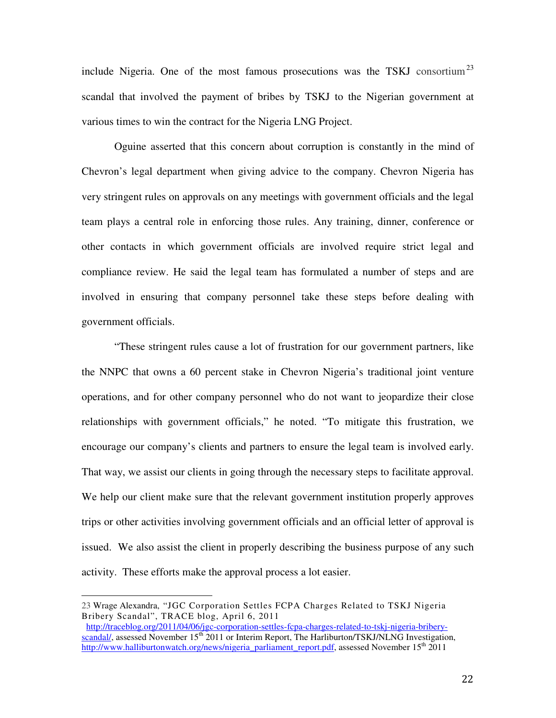include Nigeria. One of the most famous prosecutions was the TSKJ consortium<sup>23</sup> scandal that involved the payment of bribes by TSKJ to the Nigerian government at various times to win the contract for the Nigeria LNG Project.

Oguine asserted that this concern about corruption is constantly in the mind of Chevron's legal department when giving advice to the company. Chevron Nigeria has very stringent rules on approvals on any meetings with government officials and the legal team plays a central role in enforcing those rules. Any training, dinner, conference or other contacts in which government officials are involved require strict legal and compliance review. He said the legal team has formulated a number of steps and are involved in ensuring that company personnel take these steps before dealing with government officials.

"These stringent rules cause a lot of frustration for our government partners, like the NNPC that owns a 60 percent stake in Chevron Nigeria's traditional joint venture operations, and for other company personnel who do not want to jeopardize their close relationships with government officials," he noted. "To mitigate this frustration, we encourage our company's clients and partners to ensure the legal team is involved early. That way, we assist our clients in going through the necessary steps to facilitate approval. We help our client make sure that the relevant government institution properly approves trips or other activities involving government officials and an official letter of approval is issued. We also assist the client in properly describing the business purpose of any such activity. These efforts make the approval process a lot easier.

<sup>23</sup> Wrage Alexandra, "JGC Corporation Settles FCPA Charges Related to TSKJ Nigeria Bribery Scandal", TRACE blog, April 6, 2011

http://traceblog.org/2011/04/06/jgc-corporation-settles-fcpa-charges-related-to-tskj-nigeria-briberyscandal/, assessed November 15<sup>th</sup> 2011 or Interim Report, The Harliburton/TSKJ/NLNG Investigation, http://www.halliburtonwatch.org/news/nigeria\_parliament\_report.pdf, assessed November 15<sup>th</sup> 2011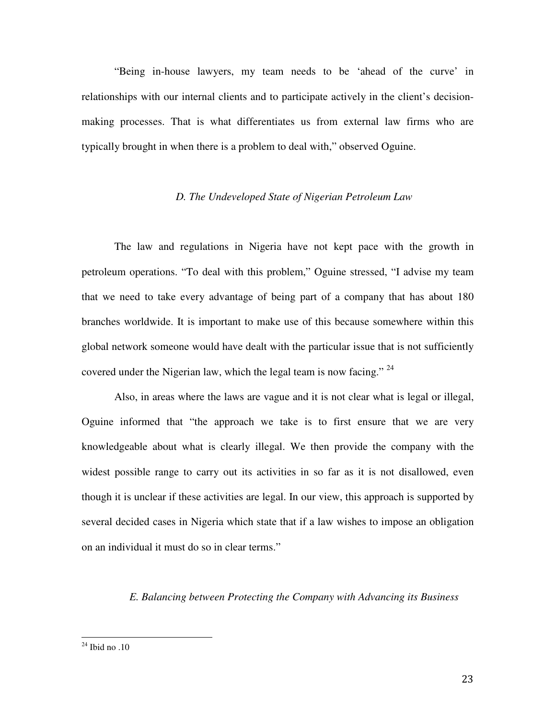"Being in-house lawyers, my team needs to be 'ahead of the curve' in relationships with our internal clients and to participate actively in the client's decisionmaking processes. That is what differentiates us from external law firms who are typically brought in when there is a problem to deal with," observed Oguine.

## *D. The Undeveloped State of Nigerian Petroleum Law*

The law and regulations in Nigeria have not kept pace with the growth in petroleum operations. "To deal with this problem," Oguine stressed, "I advise my team that we need to take every advantage of being part of a company that has about 180 branches worldwide. It is important to make use of this because somewhere within this global network someone would have dealt with the particular issue that is not sufficiently covered under the Nigerian law, which the legal team is now facing."  $24$ 

Also, in areas where the laws are vague and it is not clear what is legal or illegal, Oguine informed that "the approach we take is to first ensure that we are very knowledgeable about what is clearly illegal. We then provide the company with the widest possible range to carry out its activities in so far as it is not disallowed, even though it is unclear if these activities are legal. In our view, this approach is supported by several decided cases in Nigeria which state that if a law wishes to impose an obligation on an individual it must do so in clear terms."

#### *E. Balancing between Protecting the Company with Advancing its Business*

 $24$  Ibid no .10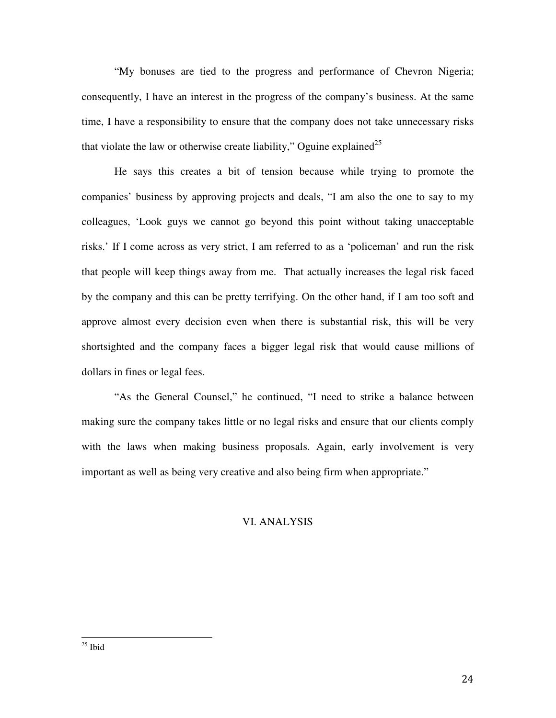"My bonuses are tied to the progress and performance of Chevron Nigeria; consequently, I have an interest in the progress of the company's business. At the same time, I have a responsibility to ensure that the company does not take unnecessary risks that violate the law or otherwise create liability," Oguine explained<sup>25</sup>

He says this creates a bit of tension because while trying to promote the companies' business by approving projects and deals, "I am also the one to say to my colleagues, 'Look guys we cannot go beyond this point without taking unacceptable risks.' If I come across as very strict, I am referred to as a 'policeman' and run the risk that people will keep things away from me. That actually increases the legal risk faced by the company and this can be pretty terrifying. On the other hand, if I am too soft and approve almost every decision even when there is substantial risk, this will be very shortsighted and the company faces a bigger legal risk that would cause millions of dollars in fines or legal fees.

"As the General Counsel," he continued, "I need to strike a balance between making sure the company takes little or no legal risks and ensure that our clients comply with the laws when making business proposals. Again, early involvement is very important as well as being very creative and also being firm when appropriate."

#### VI. ANALYSIS

 $25$  Ibid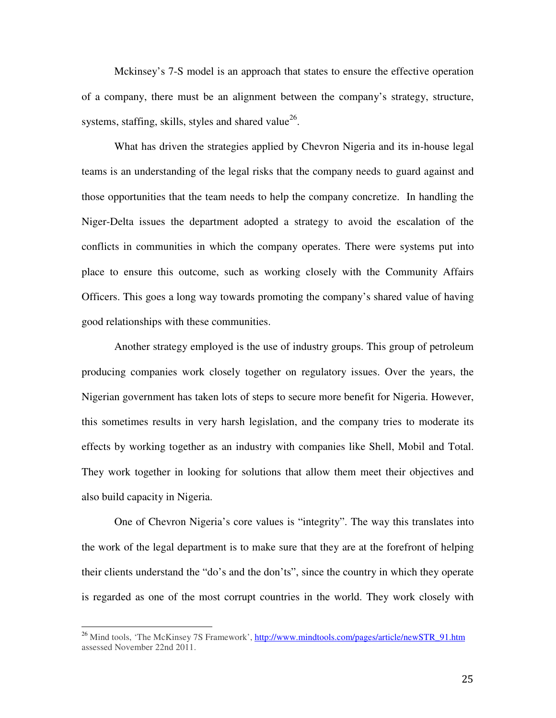Mckinsey's 7-S model is an approach that states to ensure the effective operation of a company, there must be an alignment between the company's strategy, structure, systems, staffing, skills, styles and shared value<sup>26</sup>.

What has driven the strategies applied by Chevron Nigeria and its in-house legal teams is an understanding of the legal risks that the company needs to guard against and those opportunities that the team needs to help the company concretize. In handling the Niger-Delta issues the department adopted a strategy to avoid the escalation of the conflicts in communities in which the company operates. There were systems put into place to ensure this outcome, such as working closely with the Community Affairs Officers. This goes a long way towards promoting the company's shared value of having good relationships with these communities.

Another strategy employed is the use of industry groups. This group of petroleum producing companies work closely together on regulatory issues. Over the years, the Nigerian government has taken lots of steps to secure more benefit for Nigeria. However, this sometimes results in very harsh legislation, and the company tries to moderate its effects by working together as an industry with companies like Shell, Mobil and Total. They work together in looking for solutions that allow them meet their objectives and also build capacity in Nigeria.

One of Chevron Nigeria's core values is "integrity". The way this translates into the work of the legal department is to make sure that they are at the forefront of helping their clients understand the "do's and the don'ts", since the country in which they operate is regarded as one of the most corrupt countries in the world. They work closely with

<sup>&</sup>lt;sup>26</sup> Mind tools, 'The McKinsey 7S Framework', http://www.mindtools.com/pages/article/newSTR\_91.htm assessed November 22nd 2011.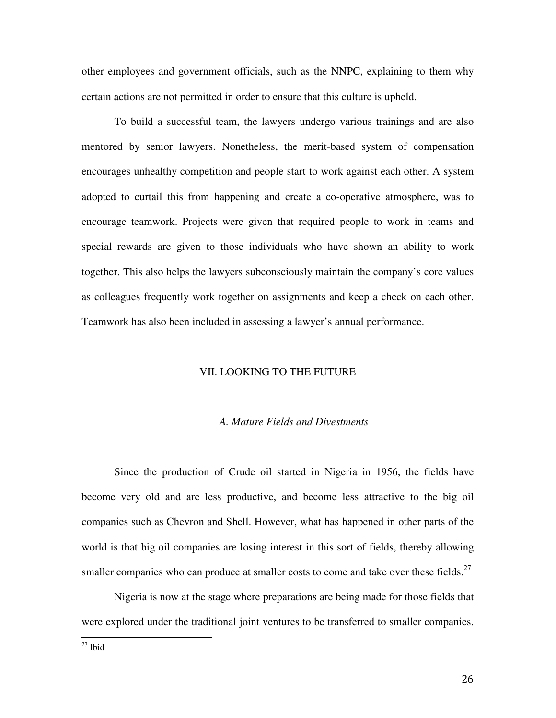other employees and government officials, such as the NNPC, explaining to them why certain actions are not permitted in order to ensure that this culture is upheld.

To build a successful team, the lawyers undergo various trainings and are also mentored by senior lawyers. Nonetheless, the merit-based system of compensation encourages unhealthy competition and people start to work against each other. A system adopted to curtail this from happening and create a co-operative atmosphere, was to encourage teamwork. Projects were given that required people to work in teams and special rewards are given to those individuals who have shown an ability to work together. This also helps the lawyers subconsciously maintain the company's core values as colleagues frequently work together on assignments and keep a check on each other. Teamwork has also been included in assessing a lawyer's annual performance.

#### VII. LOOKING TO THE FUTURE

#### *A. Mature Fields and Divestments*

 Since the production of Crude oil started in Nigeria in 1956, the fields have become very old and are less productive, and become less attractive to the big oil companies such as Chevron and Shell. However, what has happened in other parts of the world is that big oil companies are losing interest in this sort of fields, thereby allowing smaller companies who can produce at smaller costs to come and take over these fields.<sup>27</sup>

 Nigeria is now at the stage where preparations are being made for those fields that were explored under the traditional joint ventures to be transferred to smaller companies.

 $27$  Ibid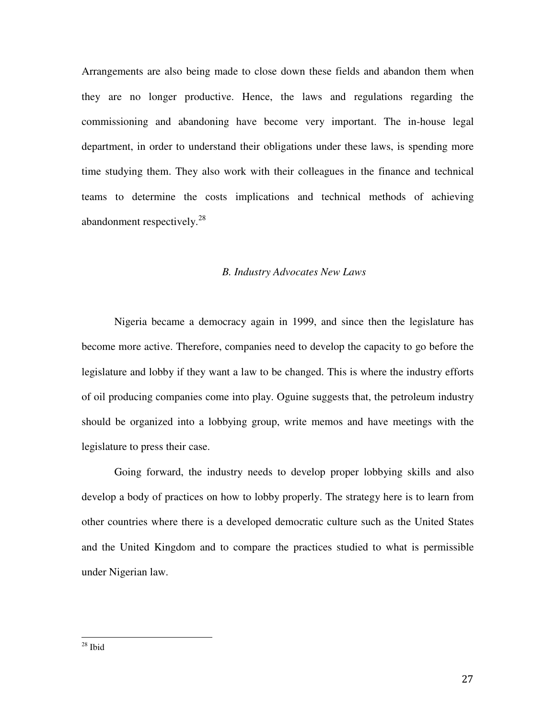Arrangements are also being made to close down these fields and abandon them when they are no longer productive. Hence, the laws and regulations regarding the commissioning and abandoning have become very important. The in-house legal department, in order to understand their obligations under these laws, is spending more time studying them. They also work with their colleagues in the finance and technical teams to determine the costs implications and technical methods of achieving abandonment respectively.<sup>28</sup>

## *B. Industry Advocates New Laws*

 Nigeria became a democracy again in 1999, and since then the legislature has become more active. Therefore, companies need to develop the capacity to go before the legislature and lobby if they want a law to be changed. This is where the industry efforts of oil producing companies come into play. Oguine suggests that, the petroleum industry should be organized into a lobbying group, write memos and have meetings with the legislature to press their case.

 Going forward, the industry needs to develop proper lobbying skills and also develop a body of practices on how to lobby properly. The strategy here is to learn from other countries where there is a developed democratic culture such as the United States and the United Kingdom and to compare the practices studied to what is permissible under Nigerian law.

 $^\mathrm{28}$  Ibid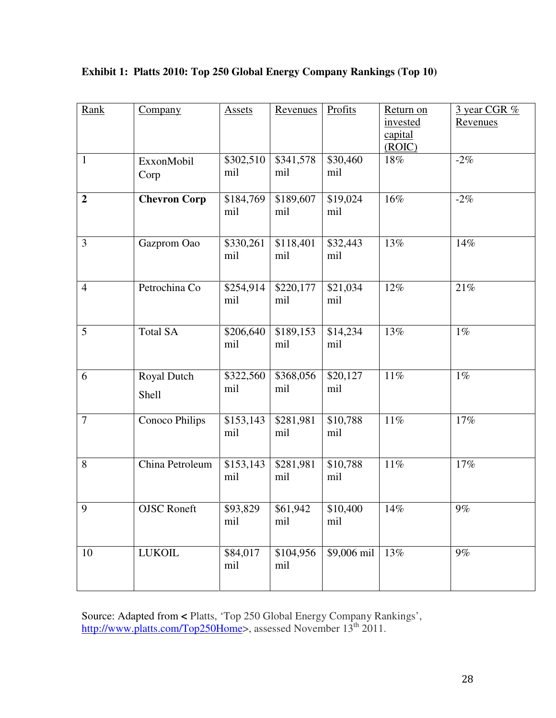| Rank           | Company              | <b>Assets</b>    | Revenues         | Profits         | Return on<br>invested<br>capital<br>(ROIC) | 3 year CGR %<br>Revenues |
|----------------|----------------------|------------------|------------------|-----------------|--------------------------------------------|--------------------------|
| $\mathbf{1}$   | ExxonMobil<br>Corp   | \$302,510<br>mil | \$341,578<br>mil | \$30,460<br>mil | 18%                                        | $-2\%$                   |
| $\overline{2}$ | <b>Chevron Corp</b>  | \$184,769<br>mil | \$189,607<br>mil | \$19,024<br>mil | 16%                                        | $-2%$                    |
| 3              | Gazprom Oao          | \$330,261<br>mil | \$118,401<br>mil | \$32,443<br>mil | 13%                                        | 14%                      |
| $\overline{4}$ | Petrochina Co        | \$254,914<br>mil | \$220,177<br>mil | \$21,034<br>mil | 12%                                        | 21%                      |
| 5              | <b>Total SA</b>      | \$206,640<br>mil | \$189,153<br>mil | \$14,234<br>mil | 13%                                        | $1\%$                    |
| 6              | Royal Dutch<br>Shell | \$322,560<br>mil | \$368,056<br>mil | \$20,127<br>mil | 11%                                        | $1\%$                    |
| $\overline{7}$ | Conoco Philips       | \$153,143<br>mil | \$281,981<br>mil | \$10,788<br>mil | 11%                                        | 17%                      |
| 8              | China Petroleum      | \$153,143<br>mil | \$281,981<br>mil | \$10,788<br>mil | 11%                                        | 17%                      |
| 9              | <b>OJSC</b> Roneft   | \$93,829<br>mil  | \$61,942<br>mil  | \$10,400<br>mil | $14\%$                                     | $9\%$                    |
| 10             | <b>LUKOIL</b>        | \$84,017<br>mil  | \$104,956<br>mil | \$9,006 mil     | 13%                                        | 9%                       |

**Exhibit 1: Platts 2010: Top 250 Global Energy Company Rankings (Top 10)** 

Source: Adapted from **<** Platts, 'Top 250 Global Energy Company Rankings', http://www.platts.com/Top250Home>, assessed November 13<sup>th</sup> 2011.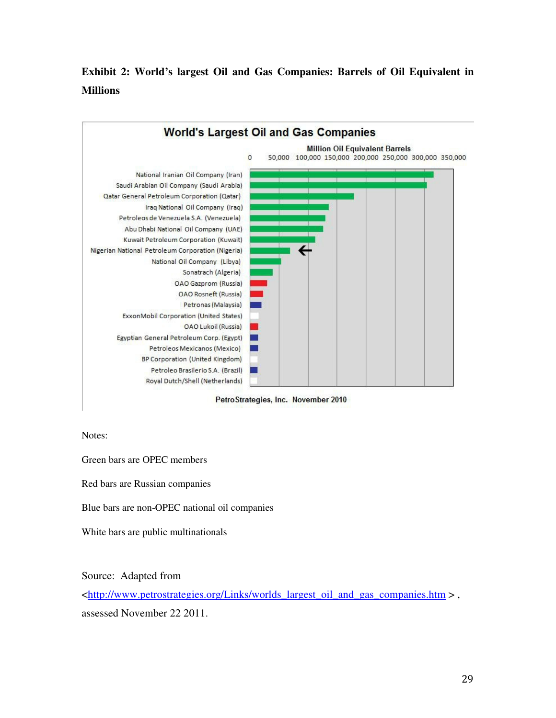# **Exhibit 2: World's largest Oil and Gas Companies: Barrels of Oil Equivalent in Millions**



PetroStrategies, Inc. November 2010

Notes:

Green bars are OPEC members

Red bars are Russian companies

Blue bars are non-OPEC national oil companies

White bars are public multinationals

Source: Adapted from

<http://www.petrostrategies.org/Links/worlds\_largest\_oil\_and\_gas\_companies.htm > , assessed November 22 2011.